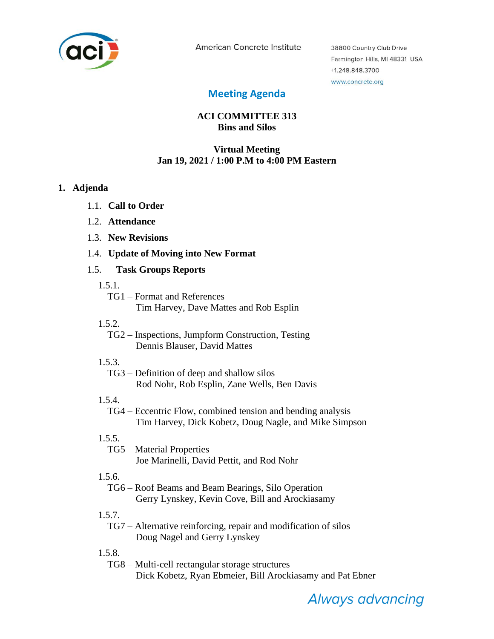

American Concrete Institute

38800 Country Club Drive Farmington Hills, MI 48331 USA +1.248.848.3700 www.concrete.org

# **Meeting Agenda**

# **ACI COMMITTEE 313 Bins and Silos**

### **Virtual Meeting Jan 19, 2021 / 1:00 P.M to 4:00 PM Eastern**

#### **1. Adjenda**

- 1.1. **Call to Order**
- 1.2. **Attendance**
- 1.3. **New Revisions**
- 1.4. **Update of Moving into New Format**

### 1.5. **Task Groups Reports**

- 1.5.1.
	- TG1 Format and References Tim Harvey, Dave Mattes and Rob Esplin
- 1.5.2.
	- TG2 Inspections, Jumpform Construction, Testing Dennis Blauser, David Mattes
- 1.5.3.

TG3 – Definition of deep and shallow silos Rod Nohr, Rob Esplin, Zane Wells, Ben Davis

1.5.4.

TG4 – Eccentric Flow, combined tension and bending analysis Tim Harvey, Dick Kobetz, Doug Nagle, and Mike Simpson

# 1.5.5.

TG5 – Material Properties Joe Marinelli, David Pettit, and Rod Nohr

# 1.5.6.

TG6 – Roof Beams and Beam Bearings, Silo Operation Gerry Lynskey, Kevin Cove, Bill and Arockiasamy

1.5.7.

TG7 – Alternative reinforcing, repair and modification of silos Doug Nagel and Gerry Lynskey

1.5.8.

TG8 – Multi-cell rectangular storage structures Dick Kobetz, Ryan Ebmeier, Bill Arockiasamy and Pat Ebner